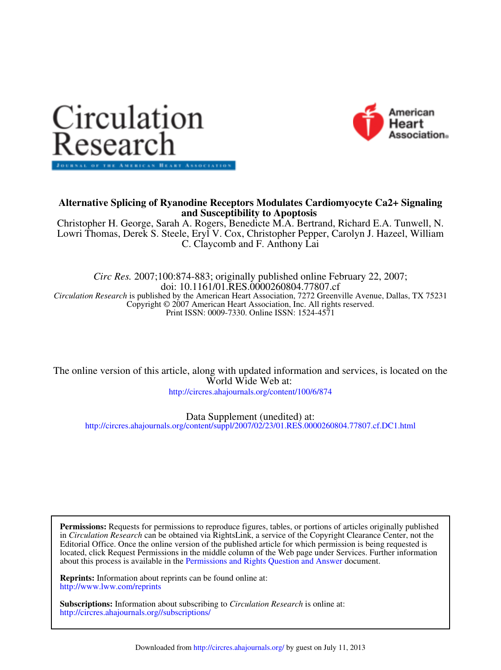



# **and Susceptibility to Apoptosis Alternative Splicing of Ryanodine Receptors Modulates Cardiomyocyte Ca2+ Signaling**

C. Claycomb and F. Anthony Lai Lowri Thomas, Derek S. Steele, Eryl V. Cox, Christopher Pepper, Carolyn J. Hazeel, William Christopher H. George, Sarah A. Rogers, Benedicte M.A. Bertrand, Richard E.A. Tunwell, N.

Print ISSN: 0009-7330. Online ISSN: 1524-4571 Copyright © 2007 American Heart Association, Inc. All rights reserved. *Circulation Research* is published by the American Heart Association, 7272 Greenville Avenue, Dallas, TX 75231 doi: 10.1161/01.RES.0000260804.77807.cf *Circ Res.* 2007;100:874-883; originally published online February 22, 2007;

World Wide Web at: The online version of this article, along with updated information and services, is located on the

http://circres.ahajournals.org/content/100/6/874

Data Supplement (unedited) at:

http://circres.ahajournals.org/content/suppl/2007/02/23/01.RES.0000260804.77807.cf.DC1.html

about this process is available in the Permissions and Rights Question and Answer document. located, click Request Permissions in the middle column of the Web page under Services. Further information Editorial Office. Once the online version of the published article for which permission is being requested is in *Circulation Research* can be obtained via RightsLink, a service of the Copyright Clearance Center, not the **Permissions:** Requests for permissions to reproduce figures, tables, or portions of articles originally published

http://www.lww.com/reprints **Reprints:** Information about reprints can be found online at:

http://circres.ahajournals.org//subscriptions/ **Subscriptions:** Information about subscribing to *Circulation Research* is online at: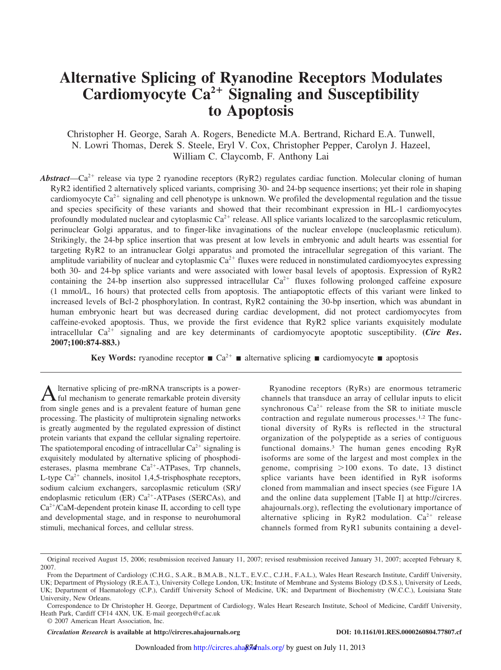# **Alternative Splicing of Ryanodine Receptors Modulates Cardiomyocyte Ca<sup>2</sup> Signaling and Susceptibility to Apoptosis**

Christopher H. George, Sarah A. Rogers, Benedicte M.A. Bertrand, Richard E.A. Tunwell, N. Lowri Thomas, Derek S. Steele, Eryl V. Cox, Christopher Pepper, Carolyn J. Hazeel, William C. Claycomb, F. Anthony Lai

Abstract—Ca<sup>2+</sup> release via type 2 ryanodine receptors (RyR2) regulates cardiac function. Molecular cloning of human RyR2 identified 2 alternatively spliced variants, comprising 30- and 24-bp sequence insertions; yet their role in shaping cardiomyocyte  $Ca^{2+}$  signaling and cell phenotype is unknown. We profiled the developmental regulation and the tissue and species specificity of these variants and showed that their recombinant expression in HL-1 cardiomyocytes profoundly modulated nuclear and cytoplasmic  $Ca^{2+}$  release. All splice variants localized to the sarcoplasmic reticulum, perinuclear Golgi apparatus, and to finger-like invaginations of the nuclear envelope (nucleoplasmic reticulum). Strikingly, the 24-bp splice insertion that was present at low levels in embryonic and adult hearts was essential for targeting RyR2 to an intranuclear Golgi apparatus and promoted the intracellular segregation of this variant. The amplitude variability of nuclear and cytoplasmic  $Ca^{2+}$  fluxes were reduced in nonstimulated cardiomyocytes expressing both 30- and 24-bp splice variants and were associated with lower basal levels of apoptosis. Expression of RyR2 containing the 24-bp insertion also suppressed intracellular  $Ca^{2+}$  fluxes following prolonged caffeine exposure (1 mmol/L, 16 hours) that protected cells from apoptosis. The antiapoptotic effects of this variant were linked to increased levels of Bcl-2 phosphorylation. In contrast, RyR2 containing the 30-bp insertion, which was abundant in human embryonic heart but was decreased during cardiac development, did not protect cardiomyocytes from caffeine-evoked apoptosis. Thus, we provide the first evidence that RyR2 splice variants exquisitely modulate intracellular Ca<sup>2+</sup> signaling and are key determinants of cardiomyocyte apoptotic susceptibility. (*Circ Res*. **2007;100:874-883.)**

**Key Words:** ryanodine receptor  $\blacksquare$  Ca<sup>2+</sup>  $\blacksquare$  alternative splicing  $\blacksquare$  cardiomyocyte  $\blacksquare$  apoptosis

**A** Iternative splicing of pre-mRNA transcripts is a power-<br>ful mechanism to generate remarkable protein diversity<br>from single genes and is a prevalent feature of human gene lternative splicing of pre-mRNA transcripts is a powerful mechanism to generate remarkable protein diversity processing. The plasticity of multiprotein signaling networks is greatly augmented by the regulated expression of distinct protein variants that expand the cellular signaling repertoire. The spatiotemporal encoding of intracellular  $Ca^{2+}$  signaling is exquisitely modulated by alternative splicing of phosphodiesterases, plasma membrane  $Ca^{2+}-ATP$ ases, Trp channels, L-type  $Ca^{2+}$  channels, inositol 1,4,5-trisphosphate receptors, sodium calcium exchangers, sarcoplasmic reticulum (SR)/ endoplasmic reticulum (ER)  $Ca^{2+}-ATPases$  (SERCAs), and Ca<sup>2+</sup>/CaM-dependent protein kinase II, according to cell type and developmental stage, and in response to neurohumoral stimuli, mechanical forces, and cellular stress.

Ryanodine receptors (RyRs) are enormous tetrameric channels that transduce an array of cellular inputs to elicit synchronous  $Ca^{2+}$  release from the SR to initiate muscle contraction and regulate numerous processes.1,2 The functional diversity of RyRs is reflected in the structural organization of the polypeptide as a series of contiguous functional domains.<sup>3</sup> The human genes encoding RyR isoforms are some of the largest and most complex in the genome, comprising  $>100$  exons. To date, 13 distinct splice variants have been identified in RyR isoforms cloned from mammalian and insect species (see Figure 1A and the online data supplement [Table I] at http://circres. ahajournals.org), reflecting the evolutionary importance of alternative splicing in RyR2 modulation.  $Ca^{2+}$  release channels formed from RyR1 subunits containing a devel-

*Circulation Research* **is available at http://circres.ahajournals.org DOI: 10.1161/01.RES.0000260804.77807.cf**

Original received August 15, 2006; resubmission received January 11, 2007; revised resubmission received January 31, 2007; accepted February 8, 2007.

From the Department of Cardiology (C.H.G., S.A.R., B.M.A.B., N.L.T., E.V.C., C.J.H., F.A.L.), Wales Heart Research Institute, Cardiff University, UK; Department of Physiology (R.E.A.T.), University College London, UK; Institute of Membrane and Systems Biology (D.S.S.), University of Leeds, UK; Department of Haematology (C.P.), Cardiff University School of Medicine, UK; and Department of Biochemistry (W.C.C.), Louisiana State University, New Orleans.

Correspondence to Dr Christopher H. George, Department of Cardiology, Wales Heart Research Institute, School of Medicine, Cardiff University, Heath Park, Cardiff CF14 4XN, UK. E-mail georgech@cf.ac.uk

<sup>© 2007</sup> American Heart Association, Inc.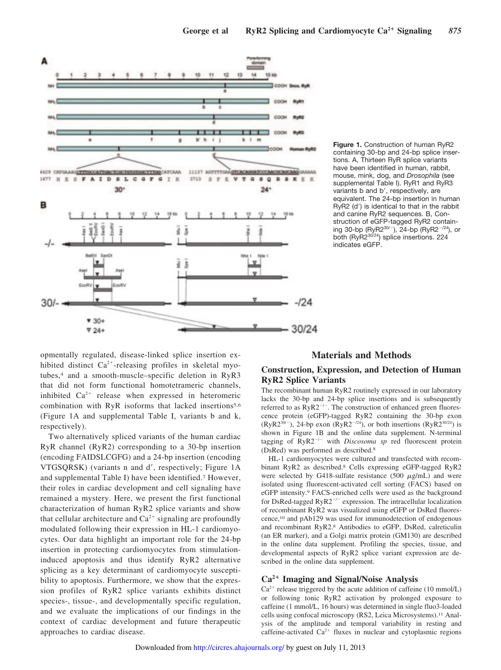

opmentally regulated, disease-linked splice insertion exhibited distinct  $Ca^{2+}$ -releasing profiles in skeletal myotubes,<sup>4</sup> and a smooth-muscle–specific deletion in RyR3 that did not form functional homotetrameric channels, inhibited  $Ca^{2+}$  release when expressed in heteromeric combination with RyR isoforms that lacked insertions<sup>5,6</sup> (Figure 1A and supplemental Table I, variants b and k, respectively).

Two alternatively spliced variants of the human cardiac RyR channel (RyR2) corresponding to a 30-bp insertion (encoding FAIDSLCGFG) and a 24-bp insertion (encoding VTGSQRSK) (variants n and d', respectively; Figure 1A and supplemental Table I) have been identified.<sup>7</sup> However, their roles in cardiac development and cell signaling have remained a mystery. Here, we present the first functional characterization of human RyR2 splice variants and show that cellular architecture and  $Ca^{2+}$  signaling are profoundly modulated following their expression in HL-1 cardiomyocytes. Our data highlight an important role for the 24-bp insertion in protecting cardiomyocytes from stimulationinduced apoptosis and thus identify RyR2 alternative splicing as a key determinant of cardiomyocyte susceptibility to apoptosis. Furthermore, we show that the expression profiles of RyR2 splice variants exhibits distinct species-, tissue-, and developmentally specific regulation, and we evaluate the implications of our findings in the context of cardiac development and future therapeutic approaches to cardiac disease.

**Figure 1.** Construction of human RyR2 containing 30-bp and 24-bp splice insertions. A, Thirteen RyR splice variants have been identified in human, rabbit, mouse, mink, dog, and *Drosophila* (see supplemental Table I). RyR1 and RyR3 variants b and b', respectively, are equivalent. The 24-bp insertion in human RyR2 (d') is identical to that in the rabbit and canine RyR2 sequences. B, Construction of eGFP-tagged RyR2 containing 30-bp (RyR2 $^{30/-}$ ), 24-bp (RyR2 $^{-/24}$ ), or both (RyR2<sup>30724</sup>) splice insertions. 224 indicates eGFP.

#### **Materials and Methods**

### **Construction, Expression, and Detection of Human RyR2 Splice Variants**

The recombinant human RyR2 routinely expressed in our laboratory lacks the 30-bp and 24-bp splice insertions and is subsequently referred to as  $RyR2^{-/-}$ . The construction of enhanced green fluorescence protein (eGFP)-tagged RyR2 containing the 30-bp exon (RyR2<sup>30/-</sup>), 24-bp exon (RyR2<sup>-/24</sup>), or both insertions (RyR2<sup>30/24</sup>) is shown in Figure 1B and the online data supplement. N-terminal tagging of  $RyR2^{-/-}$  with *Discosoma sp* red fluorescent protein (DsRed) was performed as described.<sup>8</sup>

HL-1 cardiomyocytes were cultured and transfected with recombinant RyR2 as described.<sup>8</sup> Cells expressing eGFP-tagged RyR2 were selected by G418-sulfate resistance (500  $\mu$ g/mL) and were isolated using fluorescent-activated cell sorting (FACS) based on eGFP intensity.<sup>9</sup> FACS-enriched cells were used as the background for DsRed-tagged RyR2<sup>-/-</sup> expression. The intracellular localization of recombinant RyR2 was visualized using eGFP or DsRed fluorescence,<sup>10</sup> and pAb129 was used for immunodetection of endogenous and recombinant RyR2.<sup>8</sup> Antibodies to eGFP, DsRed, calreticulin (an ER marker), and a Golgi matrix protein (GM130) are described in the online data supplement. Profiling the species, tissue, and developmental aspects of RyR2 splice variant expression are described in the online data supplement.

## **Ca<sup>2</sup> Imaging and Signal/Noise Analysis**

 $Ca^{2+}$  release triggered by the acute addition of caffeine (10 mmol/L) or following tonic RyR2 activation by prolonged exposure to caffeine (1 mmol/L, 16 hours) was determined in single fluo3-loaded cells using confocal microscopy (RS2, Leica Microsystems).<sup>11</sup> Analysis of the amplitude and temporal variability in resting and caffeine-activated  $Ca^{2+}$  fluxes in nuclear and cytoplasmic regions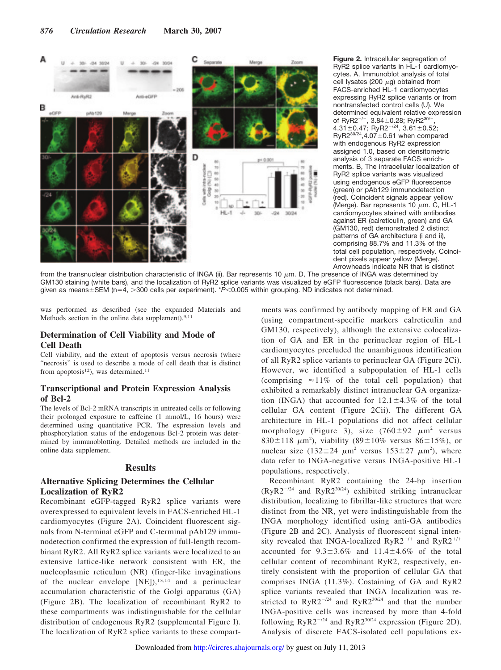

**Figure 2.** Intracellular segregation of RyR2 splice variants in HL-1 cardiomyocytes. A, Immunoblot analysis of total cell lysates (200  $\mu$ g) obtained from FACS-enriched HL-1 cardiomyocytes expressing RyR2 splice variants or from nontransfected control cells (U). We determined equivalent relative expression of RyR2<sup>-/-</sup>, 3.84 $\pm$ 0.28; RyR2<sup>30/</sup>  $4.31 \pm 0.47$ ; RyR2<sup>-/24</sup>,  $3.61 \pm 0.52$ ;  $RyR2^{30/24}$ , 4.07 $\pm$ 0.61 when compared with endogenous RyR2 expression assigned 1.0, based on densitometric analysis of 3 separate FACS enrichments. B, The intracellular localization of RyR2 splice variants was visualized using endogenous eGFP fluorescence (green) or pAb129 immunodetection (red). Coincident signals appear yellow (Merge). Bar represents 10  $\mu$ m. C, HL-1 cardiomyocytes stained with antibodies against ER (calreticulin, green) and GA (GM130, red) demonstrated 2 distinct patterns of GA architecture (i and ii), comprising 88.7% and 11.3% of the total cell population, respectively. Coincident pixels appear yellow (Merge). Arrowheads indicate NR that is distinct

from the transnuclear distribution characteristic of INGA (ii). Bar represents 10  $\mu$ m. D, The presence of INGA was determined by GM130 staining (white bars), and the localization of RyR2 splice variants was visualized by eGFP fluorescence (black bars). Data are given as means $\pm$ SEM (n=4, >300 cells per experiment). \**P*<0.005 within grouping. ND indicates not determined.

was performed as described (see the expanded Materials and Methods section in the online data supplement).<sup>9,11</sup>

### **Determination of Cell Viability and Mode of Cell Death**

Cell viability, and the extent of apoptosis versus necrosis (where "necrosis" is used to describe a mode of cell death that is distinct from apoptosis<sup>12</sup>), was determined.<sup>11</sup>

### **Transcriptional and Protein Expression Analysis of Bcl-2**

The levels of Bcl-2 mRNA transcripts in untreated cells or following their prolonged exposure to caffeine (1 mmol/L, 16 hours) were determined using quantitative PCR. The expression levels and phosphorylation status of the endogenous Bcl-2 protein was determined by immunoblotting. Detailed methods are included in the online data supplement.

### **Results**

#### **Alternative Splicing Determines the Cellular Localization of RyR2**

Recombinant eGFP-tagged RyR2 splice variants were overexpressed to equivalent levels in FACS-enriched HL-1 cardiomyocytes (Figure 2A). Coincident fluorescent signals from N-terminal eGFP and C-terminal pAb129 immunodetection confirmed the expression of full-length recombinant RyR2. All RyR2 splice variants were localized to an extensive lattice-like network consistent with ER, the nucleoplasmic reticulum (NR) (finger-like invaginations of the nuclear envelope  $[NE]$ ,  $13,14$  and a perinuclear accumulation characteristic of the Golgi apparatus (GA) (Figure 2B). The localization of recombinant RyR2 to these compartments was indistinguishable for the cellular distribution of endogenous RyR2 (supplemental Figure I). The localization of RyR2 splice variants to these compart-

ments was confirmed by antibody mapping of ER and GA (using compartment-specific markers calreticulin and GM130, respectively), although the extensive colocalization of GA and ER in the perinuclear region of HL-1 cardiomyocytes precluded the unambiguous identification of all RyR2 splice variants to perinuclear GA (Figure 2Ci). However, we identified a subpopulation of HL-1 cells (comprising  $\approx 11\%$  of the total cell population) that exhibited a remarkably distinct intranuclear GA organization (INGA) that accounted for  $12.1 \pm 4.3\%$  of the total cellular GA content (Figure 2Cii). The different GA architecture in HL-1 populations did not affect cellular morphology (Figure 3), size  $(760 \pm 92 \mu m^2 \text{ versus}$ 830 $\pm$ 118  $\mu$ m<sup>2</sup>), viability (89 $\pm$ 10% versus 86 $\pm$ 15%), or nuclear size  $(132 \pm 24 \mu m^2 \text{ versus } 153 \pm 27 \mu m^2)$ , where data refer to INGA-negative versus INGA-positive HL-1 populations, respectively.

Recombinant RyR2 containing the 24-bp insertion  $(RyR2^{-1/24}$  and  $RyR2^{30/24}$ ) exhibited striking intranuclear distribution, localizing to fibrillar-like structures that were distinct from the NR, yet were indistinguishable from the INGA morphology identified using anti-GA antibodies (Figure 2B and 2C). Analysis of fluorescent signal intensity revealed that INGA-localized RyR2<sup>-/+</sup> and RyR2<sup>+/+</sup> accounted for  $9.3 \pm 3.6\%$  and  $11.4 \pm 4.6\%$  of the total cellular content of recombinant RyR2, respectively, entirely consistent with the proportion of cellular GA that comprises INGA (11.3%). Costaining of GA and RyR2 splice variants revealed that INGA localization was restricted to  $RyR2^{-1/24}$  and  $RyR2^{30/24}$  and that the number INGA-positive cells was increased by more than 4-fold following  $RyR2^{-1/24}$  and  $RyR2^{30/24}$  expression (Figure 2D). Analysis of discrete FACS-isolated cell populations ex-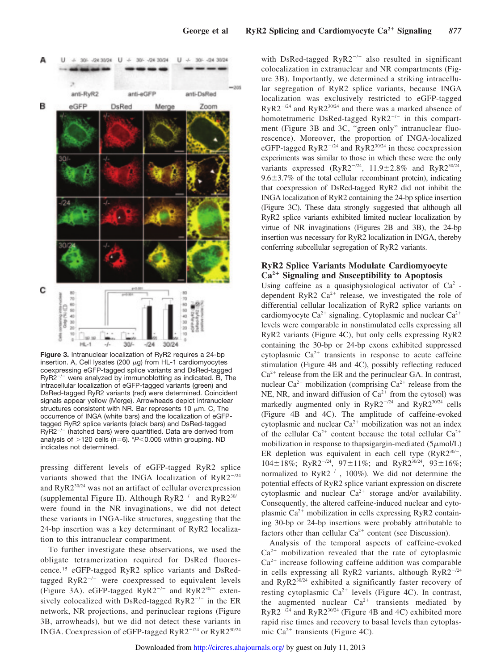

**Figure 3.** Intranuclear localization of RyR2 requires a 24-bp insertion. A, Cell lysates (200  $\mu$ g) from HL-1 cardiomyocytes coexpressing eGFP-tagged splice variants and DsRed-tagged  $RyR2^{-/-}$  were analyzed by immunoblotting as indicated. B, The intracellular localization of eGFP-tagged variants (green) and DsRed-tagged RyR2 variants (red) were determined. Coincident signals appear yellow (Merge). Arrowheads depict intranuclear structures consistent with NR. Bar represents 10  $\mu$ m. C, The occurrence of INGA (white bars) and the localization of eGFPtagged RyR2 splice variants (black bars) and DsRed-tagged  $RyR2^{-/-}$  (hatched bars) were quantified. Data are derived from analysis of  $>$ 120 cells (n=6).  $*P$ <0.005 within grouping. ND indicates not determined.

pressing different levels of eGFP-tagged RyR2 splice variants showed that the INGA localization of  $RyR2^{-1/24}$ and RyR230/24 was not an artifact of cellular overexpression (supplemental Figure II). Although  $RyR2^{-/-}$  and  $RyR2^{30/-}$ were found in the NR invaginations, we did not detect these variants in INGA-like structures, suggesting that the 24-bp insertion was a key determinant of RyR2 localization to this intranuclear compartment.

To further investigate these observations, we used the obligate tetramerization required for DsRed fluorescence.<sup>15</sup> eGFP-tagged RyR2 splice variants and DsRedtagged  $RyR2^{-/-}$  were coexpressed to equivalent levels (Figure 3A). eGFP-tagged  $RyR2^{-/-}$  and  $RyR2^{30/-}$  extensively colocalized with DsRed-tagged  $RyR2^{-/-}$  in the ER network, NR projections, and perinuclear regions (Figure 3B, arrowheads), but we did not detect these variants in INGA. Coexpression of eGFP-tagged  $RyR2^{-1/24}$  or  $RyR2^{30/24}$ 

with DsRed-tagged  $RyR2^{-/-}$  also resulted in significant colocalization in extranuclear and NR compartments (Figure 3B). Importantly, we determined a striking intracellular segregation of RyR2 splice variants, because INGA localization was exclusively restricted to eGFP-tagged  $RyR2^{-1/24}$  and  $RyR2^{30/24}$  and there was a marked absence of homotetrameric DsRed-tagged  $RyR2^{-/-}$  in this compartment (Figure 3B and 3C, "green only" intranuclear fluorescence). Moreover, the proportion of INGA-localized eGFP-tagged  $RyR2^{-1/24}$  and  $RyR2^{30/24}$  in these coexpression experiments was similar to those in which these were the only variants expressed (RyR2<sup>-/24</sup>, 11.9±2.8% and RyR2<sup>30/24</sup>,  $9.6\pm3.7\%$  of the total cellular recombinant protein), indicating that coexpression of DsRed-tagged RyR2 did not inhibit the INGA localization of RyR2 containing the 24-bp splice insertion (Figure 3C). These data strongly suggested that although all RyR2 splice variants exhibited limited nuclear localization by virtue of NR invaginations (Figures 2B and 3B), the 24-bp insertion was necessary for RyR2 localization in INGA, thereby conferring subcellular segregation of RyR2 variants.

### **RyR2 Splice Variants Modulate Cardiomyocyte Ca<sup>2</sup> Signaling and Susceptibility to Apoptosis**

Using caffeine as a quasiphysiological activator of  $Ca^{2+}$ dependent RyR2  $Ca^{2+}$  release, we investigated the role of differential cellular localization of RyR2 splice variants on cardiomyocyte  $Ca^{2+}$  signaling. Cytoplasmic and nuclear  $Ca^{2+}$ levels were comparable in nonstimulated cells expressing all RyR2 variants (Figure 4C), but only cells expressing RyR2 containing the 30-bp or 24-bp exons exhibited suppressed cytoplasmic  $Ca^{2+}$  transients in response to acute caffeine stimulation (Figure 4B and 4C), possibly reflecting reduced  $Ca<sup>2+</sup>$  release from the ER and the perinuclear GA. In contrast, nuclear Ca<sup>2+</sup> mobilization (comprising Ca<sup>2+</sup> release from the NE, NR, and inward diffusion of  $Ca^{2+}$  from the cytosol) was markedly augmented only in  $RyR2^{-/24}$  and  $RyR2^{30/24}$  cells (Figure 4B and 4C). The amplitude of caffeine-evoked cytoplasmic and nuclear  $Ca^{2+}$  mobilization was not an index of the cellular  $Ca^{2+}$  content because the total cellular  $Ca^{2+}$ mobilization in response to thapsigargin-mediated  $(5 \mu \text{mol/L})$ ER depletion was equivalent in each cell type  $(RyR2^{30/-})$ ,  $104 \pm 18\%$ ; RyR2<sup>-/24</sup>, 97 $\pm 11\%$ ; and RyR2<sup>30/24</sup>, 93 $\pm 16\%$ ; normalized to  $RyR2^{-/-}$ , 100%). We did not determine the potential effects of RyR2 splice variant expression on discrete cytoplasmic and nuclear  $Ca^{2+}$  storage and/or availability. Consequently, the altered caffeine-induced nuclear and cytoplasmic  $Ca^{2+}$  mobilization in cells expressing RyR2 containing 30-bp or 24-bp insertions were probably attributable to factors other than cellular  $Ca^{2+}$  content (see Discussion).

Analysis of the temporal aspects of caffeine-evoked  $Ca<sup>2+</sup>$  mobilization revealed that the rate of cytoplasmic  $Ca<sup>2+</sup>$  increase following caffeine addition was comparable in cells expressing all RyR2 variants, although  $RyR2^{-1/24}$ and RyR230/24 exhibited a significantly faster recovery of resting cytoplasmic  $Ca^{2+}$  levels (Figure 4C). In contrast, the augmented nuclear  $Ca^{2+}$  transients mediated by  $RyR2^{-1/24}$  and  $RyR2^{30/24}$  (Figure 4B and 4C) exhibited more rapid rise times and recovery to basal levels than cytoplasmic Ca<sup>2+</sup> transients (Figure 4C).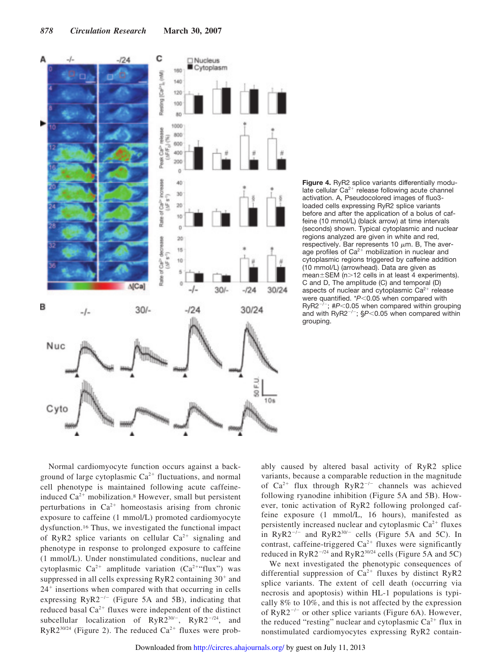

**Figure 4.** RyR2 splice variants differentially modulate cellular  $Ca^{2+}$  release following acute channel activation. A, Pseudocolored images of fluo3 loaded cells expressing RyR2 splice variants before and after the application of a bolus of caffeine (10 mmol/L) (black arrow) at time intervals (seconds) shown. Typical cytoplasmic and nuclear regions analyzed are given in white and red, respectively. Bar represents 10  $\mu$ m. B, The average profiles of  $Ca^{2+}$  mobilization in nuclear and cytoplasmic regions triggered by caffeine addition (10 mmol/L) (arrowhead). Data are given as  $m$ ean $\pm$ SEM (n>12 cells in at least 4 experiments). C and D, The amplitude (C) and temporal (D) aspects of nuclear and cytoplasmic  $Ca^{2+}$  release were quantified. \**P*<0.05 when compared with  $RyR2^{-/-}$ ; # $P<0.05$  when compared within grouping and with  $RyR2^{-/-}$ ;  $$P<0.05$  when compared within grouping.

Normal cardiomyocyte function occurs against a background of large cytoplasmic  $Ca^{2+}$  fluctuations, and normal cell phenotype is maintained following acute caffeineinduced  $Ca^{2+}$  mobilization.<sup>8</sup> However, small but persistent perturbations in  $Ca^{2+}$  homeostasis arising from chronic exposure to caffeine (1 mmol/L) promoted cardiomyocyte dysfunction.<sup>16</sup> Thus, we investigated the functional impact of RyR2 splice variants on cellular  $Ca^{2+}$  signaling and phenotype in response to prolonged exposure to caffeine (1 mmol/L). Under nonstimulated conditions, nuclear and cytoplasmic  $Ca^{2+}$  amplitude variation  $(Ca^{2+}$ "flux") was suppressed in all cells expressing RyR2 containing  $30^+$  and 24 insertions when compared with that occurring in cells expressing  $RyR2^{-/-}$  (Figure 5A and 5B), indicating that reduced basal  $Ca^{2+}$  fluxes were independent of the distinct subcellular localization of  $RyR2^{30/-}$ ,  $RyR2^{-/24}$ , and  $RyR2^{30/24}$  (Figure 2). The reduced  $Ca^{2+}$  fluxes were prob-

ably caused by altered basal activity of RyR2 splice variants, because a comparable reduction in the magnitude of Ca<sup>2+</sup> flux through  $RyR2^{-/-}$  channels was achieved following ryanodine inhibition (Figure 5A and 5B). However, tonic activation of RyR2 following prolonged caffeine exposure (1 mmol/L, 16 hours), manifested as persistently increased nuclear and cytoplasmic  $Ca^{2+}$  fluxes in RyR2<sup>-/-</sup> and RyR2<sup>30/-</sup> cells (Figure 5A and 5C). In contrast, caffeine-triggered  $Ca^{2+}$  fluxes were significantly reduced in  $RyR2^{-1/24}$  and  $RyR2^{30/24}$  cells (Figure 5A and 5C)

We next investigated the phenotypic consequences of differential suppression of  $Ca^{2+}$  fluxes by distinct RyR2 splice variants. The extent of cell death (occurring via necrosis and apoptosis) within HL-1 populations is typically 8% to 10%, and this is not affected by the expression of  $RyR2^{-/-}$  or other splice variants (Figure 6A). However, the reduced "resting" nuclear and cytoplasmic  $Ca^{2+}$  flux in nonstimulated cardiomyocytes expressing RyR2 contain-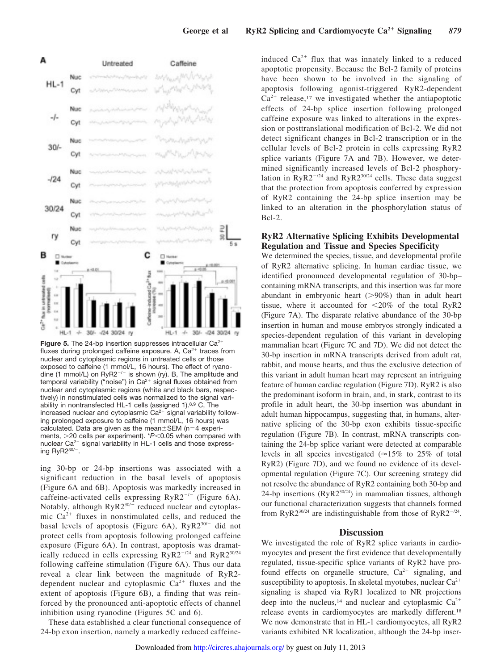

**Figure 5.** The 24-bp insertion suppresses intracellular Ca<sup>2+</sup> fluxes during prolonged caffeine exposure. A,  $Ca^{2+}$  traces from nuclear and cytoplasmic regions in untreated cells or those exposed to caffeine (1 mmol/L, 16 hours). The effect of ryanodine (1 mmol/L) on  $RyR2^{-/-}$  is shown (ry). B, The amplitude and temporal variability ("noise") in  $Ca^{2+}$  signal fluxes obtained from nuclear and cytoplasmic regions (white and black bars, respectively) in nonstimulated cells was normalized to the signal variability in nontransfected HL-1 cells (assigned 1).8,9 C, The increased nuclear and cytoplasmic  $Ca<sup>2+</sup>$  signal variability following prolonged exposure to caffeine (1 mmol/L, 16 hours) was calculated. Data are given as the mean $\pm$ SEM (n=4 experiments, >20 cells per experiment). \*P<0.05 when compared with nuclear  $Ca^{2+}$  signal variability in HL-1 cells and those expressing RyR $2^{30/-}$ .

ing 30-bp or 24-bp insertions was associated with a significant reduction in the basal levels of apoptosis (Figure 6A and 6B). Apoptosis was markedly increased in caffeine-activated cells expressing  $RyR2^{-/-}$  (Figure 6A). Notably, although  $RyR2^{30/-}$  reduced nuclear and cytoplasmic  $Ca^{2+}$  fluxes in nonstimulated cells, and reduced the basal levels of apoptosis (Figure 6A),  $RyR2^{30/-}$  did not protect cells from apoptosis following prolonged caffeine exposure (Figure 6A). In contrast, apoptosis was dramatically reduced in cells expressing  $RyR2^{-/24}$  and  $RyR2^{30/24}$ following caffeine stimulation (Figure 6A). Thus our data reveal a clear link between the magnitude of RyR2 dependent nuclear and cytoplasmic  $Ca^{2+}$  fluxes and the extent of apoptosis (Figure 6B), a finding that was reinforced by the pronounced anti-apoptotic effects of channel inhibition using ryanodine (Figures 5C and 6).

These data established a clear functional consequence of 24-bp exon insertion, namely a markedly reduced caffeine-

induced  $Ca^{2+}$  flux that was innately linked to a reduced apoptotic propensity. Because the Bcl-2 family of proteins have been shown to be involved in the signaling of apoptosis following agonist-triggered RyR2-dependent  $Ca^{2+}$  release,<sup>17</sup> we investigated whether the antiapoptotic effects of 24-bp splice insertion following prolonged caffeine exposure was linked to alterations in the expression or posttranslational modification of Bcl-2. We did not detect significant changes in Bcl-2 transcription or in the cellular levels of Bcl-2 protein in cells expressing RyR2 splice variants (Figure 7A and 7B). However, we determined significantly increased levels of Bcl-2 phosphorylation in  $RyR2^{-1/24}$  and  $RyR2^{30/24}$  cells. These data suggest that the protection from apoptosis conferred by expression of RyR2 containing the 24-bp splice insertion may be linked to an alteration in the phosphorylation status of Bcl-2.

## **RyR2 Alternative Splicing Exhibits Developmental Regulation and Tissue and Species Specificity**

We determined the species, tissue, and developmental profile of RyR2 alternative splicing. In human cardiac tissue, we identified pronounced developmental regulation of 30-bp– containing mRNA transcripts, and this insertion was far more abundant in embryonic heart  $(>\!90\%)$  than in adult heart tissue, where it accounted for  $\langle 20\% \rangle$  of the total RyR2 (Figure 7A). The disparate relative abundance of the 30-bp insertion in human and mouse embryos strongly indicated a species-dependent regulation of this variant in developing mammalian heart (Figure 7C and 7D). We did not detect the 30-bp insertion in mRNA transcripts derived from adult rat, rabbit, and mouse hearts, and thus the exclusive detection of this variant in adult human heart may represent an intriguing feature of human cardiac regulation (Figure 7D). RyR2 is also the predominant isoform in brain, and, in stark, contrast to its profile in adult heart, the 30-bp insertion was abundant in adult human hippocampus, suggesting that, in humans, alternative splicing of the 30-bp exon exhibits tissue-specific regulation (Figure 7B). In contrast, mRNA transcripts containing the 24-bp splice variant were detected at comparable levels in all species investigated ( $\approx$ 15% to 25% of total RyR2) (Figure 7D), and we found no evidence of its developmental regulation (Figure 7C). Our screening strategy did not resolve the abundance of RyR2 containing both 30-bp and 24-bp insertions  $(RyR2^{30/24})$  in mammalian tissues, although our functional characterization suggests that channels formed from RyR2<sup>30/24</sup> are indistinguishable from those of RyR2<sup>-/24</sup>.

#### **Discussion**

We investigated the role of RyR2 splice variants in cardiomyocytes and present the first evidence that developmentally regulated, tissue-specific splice variants of RyR2 have profound effects on organelle structure,  $Ca^{2+}$  signaling, and susceptibility to apoptosis. In skeletal myotubes, nuclear  $Ca^{2+}$ signaling is shaped via RyR1 localized to NR projections deep into the nucleus,<sup>14</sup> and nuclear and cytoplasmic  $Ca^{2+}$ release events in cardiomyocytes are markedly different.<sup>18</sup> We now demonstrate that in HL-1 cardiomyocytes, all RyR2 variants exhibited NR localization, although the 24-bp inser-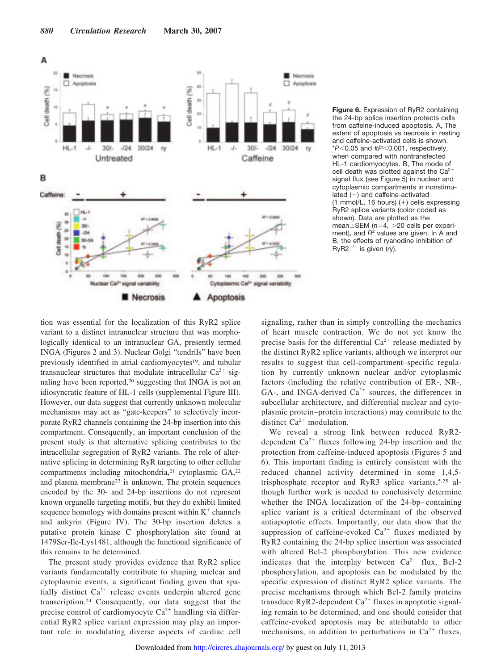

**Figure 6.** Expression of RyR2 containing the 24-bp splice insertion protects cells from caffeine-induced apoptosis. A, The extent of apoptosis vs necrosis in resting and caffeine-activated cells is shown. \**P*0.05 and #*P*0.001, respectively, when compared with nontransfected HL-1 cardiomyocytes. B, The mode of cell death was plotted against the  $Ca^{2+}$ signal flux (see Figure 5) in nuclear and cytoplasmic compartments in nonstimu $lated (-)$  and caffeine-activated (1 mmol/L, 16 hours)  $(+)$  cells expressing RyR2 splice variants (color coded as shown). Data are plotted as the  $mean \pm SEM$  (n=4, >20 cells per experiment), and *R* 2 values are given. In A and B, the effects of ryanodine inhibition of  $RyR2^{-/-}$  is given (ry).

tion was essential for the localization of this RyR2 splice variant to a distinct intranuclear structure that was morphologically identical to an intranuclear GA, presently termed INGA (Figures 2 and 3). Nuclear Golgi "tendrils" have been previously identified in atrial cardiomyocytes<sup>19</sup>, and tubular transnuclear structures that modulate intracellular  $Ca^{2+}$  signaling have been reported,<sup>20</sup> suggesting that INGA is not an idiosyncratic feature of HL-1 cells (supplemental Figure III). However, our data suggest that currently unknown molecular mechanisms may act as "gate-keepers" to selectively incorporate RyR2 channels containing the 24-bp insertion into this compartment. Consequently, an important conclusion of the present study is that alternative splicing contributes to the intracellular segregation of RyR2 variants. The role of alternative splicing in determining RyR targeting to other cellular compartments including mitochondria,<sup>21</sup> cytoplasmic GA,<sup>22</sup> and plasma membrane<sup>23</sup> is unknown. The protein sequences encoded by the 30- and 24-bp insertions do not represent known organelle targeting motifs, but they do exhibit limited sequence homology with domains present within  $K^+$  channels and ankyrin (Figure IV). The 30-bp insertion deletes a putative protein kinase C phosphorylation site found at 1479Ser-Ile-Lys1481, although the functional significance of this remains to be determined.

The present study provides evidence that RyR2 splice variants fundamentally contribute to shaping nuclear and cytoplasmic events, a significant finding given that spatially distinct  $Ca^{2+}$  release events underpin altered gene transcription.<sup>24</sup> Consequently, our data suggest that the precise control of cardiomyocyte  $Ca^{2+}$  handling via differential RyR2 splice variant expression may play an important role in modulating diverse aspects of cardiac cell signaling, rather than in simply controlling the mechanics of heart muscle contraction. We do not yet know the precise basis for the differential  $Ca^{2+}$  release mediated by the distinct RyR2 splice variants, although we interpret our results to suggest that cell-compartment–specific regulation by currently unknown nuclear and/or cytoplasmic factors (including the relative contribution of ER-, NR-, GA-, and INGA-derived  $Ca^{2+}$  sources, the differences in subcellular architecture, and differential nuclear and cytoplasmic protein–protein interactions) may contribute to the distinct  $Ca^{2+}$  modulation.

We reveal a strong link between reduced RyR2 dependent  $Ca^{2+}$  fluxes following 24-bp insertion and the protection from caffeine-induced apoptosis (Figures 5 and 6). This important finding is entirely consistent with the reduced channel activity determined in some 1,4,5 trisphosphate receptor and RyR3 splice variants,5,25 although further work is needed to conclusively determine whether the INGA localization of the 24-bp–containing splice variant is a critical determinant of the observed antiapoptotic effects. Importantly, our data show that the suppression of caffeine-evoked  $Ca^{2+}$  fluxes mediated by RyR2 containing the 24-bp splice insertion was associated with altered Bcl-2 phosphorylation. This new evidence indicates that the interplay between  $Ca^{2+}$  flux, Bcl-2 phosphorylation, and apoptosis can be modulated by the specific expression of distinct RyR2 splice variants. The precise mechanisms through which Bcl-2 family proteins transduce RyR2-dependent  $Ca^{2+}$  fluxes in apoptotic signaling remain to be determined, and one should consider that caffeine-evoked apoptosis may be attributable to other mechanisms, in addition to perturbations in  $Ca^{2+}$  fluxes,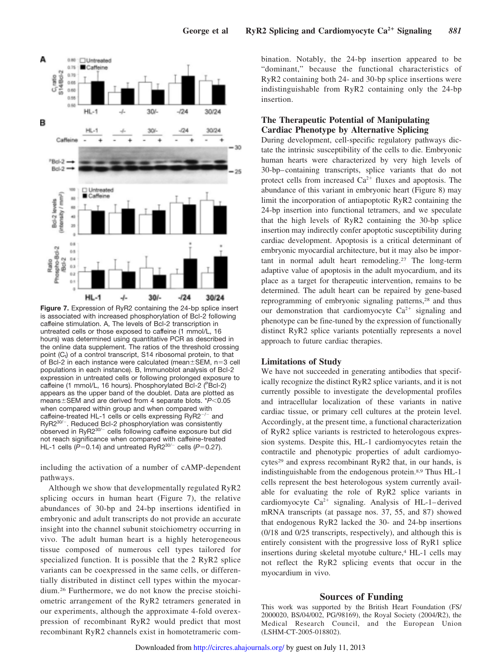

**Figure 7.** Expression of RyR2 containing the 24-bp splice insert is associated with increased phosphorylation of Bcl-2 following caffeine stimulation. A, The levels of Bcl-2 transcription in untreated cells or those exposed to caffeine (1 mmol/L, 16 hours) was determined using quantitative PCR as described in the online data supplement. The ratios of the threshold crossing point (C<sub>t</sub>) of a control transcript, S14 ribosomal protein, to that of Bcl-2 in each instance were calculated (mean $\pm$ SEM, n=3 cell populations in each instance). B, Immunoblot analysis of Bcl-2 expression in untreated cells or following prolonged exposure to caffeine (1 mmol/L, 16 hours). Phosphorylated Bcl-2 (PBcl-2) appears as the upper band of the doublet. Data are plotted as means ± SEM and are derived from 4 separate blots. \* $P$ <0.05 when compared within group and when compared with caffeine-treated HL-1 cells or cells expressing  $RyR2^{-/-}$  and RyR2<sup>30/-</sup>. Reduced Bcl-2 phosphorylation was consistently observed in RyR2<sup>30/-</sup> cells following caffeine exposure but did not reach significance when compared with caffeine-treated HL-1 cells ( $\bar{P}$ =0.14) and untreated RyR2<sup>30/-</sup> cells ( $\bar{P}$ =0.27).

including the activation of a number of cAMP-dependent pathways.

Although we show that developmentally regulated RyR2 splicing occurs in human heart (Figure 7), the relative abundances of 30-bp and 24-bp insertions identified in embryonic and adult transcripts do not provide an accurate insight into the channel subunit stoichiometry occurring in vivo. The adult human heart is a highly heterogeneous tissue composed of numerous cell types tailored for specialized function. It is possible that the 2 RyR2 splice variants can be coexpressed in the same cells, or differentially distributed in distinct cell types within the myocardium.<sup>26</sup> Furthermore, we do not know the precise stoichiometric arrangement of the RyR2 tetramers generated in our experiments, although the approximate 4-fold overexpression of recombinant RyR2 would predict that most recombinant RyR2 channels exist in homotetrameric combination. Notably, the 24-bp insertion appeared to be "dominant," because the functional characteristics of RyR2 containing both 24- and 30-bp splice insertions were indistinguishable from RyR2 containing only the 24-bp insertion.

## **The Therapeutic Potential of Manipulating Cardiac Phenotype by Alternative Splicing**

During development, cell-specific regulatory pathways dictate the intrinsic susceptibility of the cells to die. Embryonic human hearts were characterized by very high levels of 30-bp–containing transcripts, splice variants that do not protect cells from increased  $Ca^{2+}$  fluxes and apoptosis. The abundance of this variant in embryonic heart (Figure 8) may limit the incorporation of antiapoptotic RyR2 containing the 24-bp insertion into functional tetramers, and we speculate that the high levels of RyR2 containing the 30-bp splice insertion may indirectly confer apoptotic susceptibility during cardiac development. Apoptosis is a critical determinant of embryonic myocardial architecture, but it may also be important in normal adult heart remodeling.<sup>27</sup> The long-term adaptive value of apoptosis in the adult myocardium, and its place as a target for therapeutic intervention, remains to be determined. The adult heart can be repaired by gene-based reprogramming of embryonic signaling patterns,<sup>28</sup> and thus our demonstration that cardiomyocyte  $Ca^{2+}$  signaling and phenotype can be fine-tuned by the expression of functionally distinct RyR2 splice variants potentially represents a novel approach to future cardiac therapies.

#### **Limitations of Study**

We have not succeeded in generating antibodies that specifically recognize the distinct RyR2 splice variants, and it is not currently possible to investigate the developmental profiles and intracellular localization of these variants in native cardiac tissue, or primary cell cultures at the protein level. Accordingly, at the present time, a functional characterization of RyR2 splice variants is restricted to heterologous expression systems. Despite this, HL-1 cardiomyocytes retain the contractile and phenotypic properties of adult cardiomyocytes<sup>29</sup> and express recombinant RyR2 that, in our hands, is indistinguishable from the endogenous protein.8,9 Thus HL-1 cells represent the best heterologous system currently available for evaluating the role of RyR2 splice variants in cardiomyocyte  $Ca^{2+}$  signaling. Analysis of HL-1-derived mRNA transcripts (at passage nos. 37, 55, and 87) showed that endogenous RyR2 lacked the 30- and 24-bp insertions (0/18 and 0/25 transcripts, respectively), and although this is entirely consistent with the progressive loss of RyR1 splice insertions during skeletal myotube culture,<sup>4</sup> HL-1 cells may not reflect the RyR2 splicing events that occur in the myocardium in vivo.

#### **Sources of Funding**

This work was supported by the British Heart Foundation (FS/ 2000020, BS/04/002, PG/98169), the Royal Society (2004/R2), the Medical Research Council, and the European Union (LSHM-CT-2005-018802).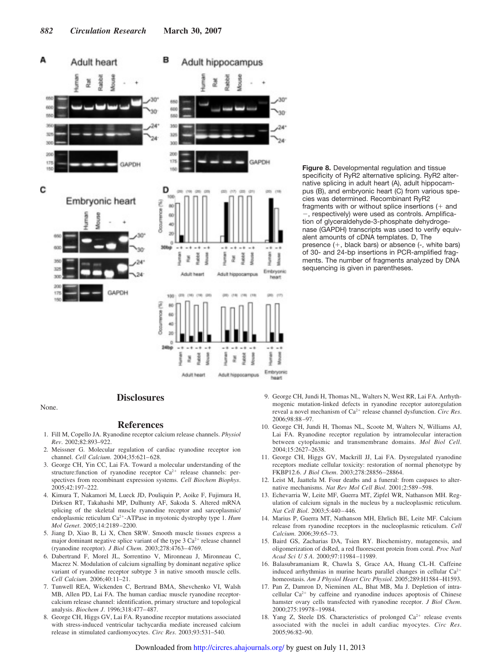

**Figure 8.** Developmental regulation and tissue specificity of RyR2 alternative splicing. RyR2 alternative splicing in adult heart (A), adult hippocampus (B), and embryonic heart (C) from various species was determined. Recombinant RyR2 fragments with or without splice insertions  $(+)$  and , respectively) were used as controls. Amplification of glyceraldehyde-3-phosphate dehydrogenase (GAPDH) transcripts was used to verify equivalent amounts of cDNA templates. D, The presence  $(+)$ , black bars) or absence  $(-)$ , white bars) of 30- and 24-bp insertions in PCR-amplified fragments. The number of fragments analyzed by DNA sequencing is given in parentheses.

# **Disclosures**

Adult heart

Adult hippocampus

**heart** 

None.

#### **References**

- 1. Fill M, Copello JA. Ryanodine receptor calcium release channels. *Physiol Rev*. 2002;82:893–922.
- 2. Meissner G. Molecular regulation of cardiac ryanodine receptor ion channel. *Cell Calcium*. 2004;35:621–628.
- 3. George CH, Yin CC, Lai FA. Toward a molecular understanding of the structure:function of ryanodine receptor  $Ca^{2+}$  release channels: perspectives from recombinant expression systems. *Cell Biochem Biophys*. 2005;42:197–222.
- 4. Kimura T, Nakamori M, Lueck JD, Pouliquin P, Aoike F, Fujimura H, Dirksen RT, Takahashi MP, Dulhunty AF, Sakoda S. Altered mRNA splicing of the skeletal muscle ryanodine receptor and sarcoplasmic/ endoplasmic reticulum Ca<sup>2+</sup>-ATPase in myotonic dystrophy type 1. *Hum Mol Genet*. 2005;14:2189–2200.
- 5. Jiang D, Xiao B, Li X, Chen SRW. Smooth muscle tissues express a major dominant negative splice variant of the type  $3 Ca<sup>2+</sup>$  release channel (ryanodine receptor). *J Biol Chem*. 2003;278:4763–4769.
- 6. Dabertrand F, Morel JL, Sorrentino V, Mironneau J, Mironneau C, Macrez N. Modulation of calcium signalling by dominant negative splice variant of ryanodine receptor subtype 3 in native smooth muscle cells. *Cell Calcium*. 2006;40:11–21.
- 7. Tunwell REA, Wickenden C, Bertrand BMA, Shevchenko VI, Walsh MB, Allen PD, Lai FA. The human cardiac muscle ryanodine receptorcalcium release channel: identification, primary structure and topological analysis. *Biochem J*. 1996;318:477–487.
- 8. George CH, Higgs GV, Lai FA. Ryanodine receptor mutations associated with stress-induced ventricular tachycardia mediate increased calcium release in stimulated cardiomyocytes. *Circ Res*. 2003;93:531–540.
- 9. George CH, Jundi H, Thomas NL, Walters N, West RR, Lai FA. Arrhythmogenic mutation-linked defects in ryanodine receptor autoregulation reveal a novel mechanism of Ca<sup>2+</sup> release channel dysfunction. *Circ Res*. 2006;98:88–97.
- 10. George CH, Jundi H, Thomas NL, Scoote M, Walters N, Williams AJ, Lai FA. Ryanodine receptor regulation by intramolecular interaction between cytoplasmic and transmembrane domains. *Mol Biol Cell*. 2004;15:2627–2638.
- 11. George CH, Higgs GV, Mackrill JJ, Lai FA. Dysregulated ryanodine receptors mediate cellular toxicity: restoration of normal phenotype by FKBP12.6. *J Biol Chem*. 2003;278:28856–28864.
- 12. Leist M, Jaattela M. Four deaths and a funeral: from caspases to alternative mechanisms. *Nat Rev Mol Cell Biol*. 2001;2:589–598.
- 13. Echevarria W, Leite MF, Guerra MT, Zipfel WR, Nathanson MH. Regulation of calcium signals in the nucleus by a nucleoplasmic reticulum. *Nat Cell Biol*. 2003;5:440–446.
- 14. Marius P, Guerra MT, Nathanson MH, Ehrlich BE, Leite MF. Calcium release from ryanodine receptors in the nucleoplasmic reticulum. *Cell Calcium*. 2006;39:65–73.
- 15. Baird GS, Zacharias DA, Tsien RY. Biochemistry, mutagenesis, and oligomerization of dsRed, a red fluorescent protein from coral. *Proc Natl Acad Sci U S A*. 2000;97:11984–11989.
- 16. Balasubramaniam R, Chawla S, Grace AA, Huang CL-H. Caffeine induced arrhythmias in murine hearts parallel changes in cellular  $Ca^{2+}$ homeostasis. *Am J Physiol Heart Circ Physiol.* 2005;289:H1584–H1593.
- 17. Pan Z, Damron D, Nieminen AL, Bhat MB, Ma J. Depletion of intracellular  $Ca^{2+}$  by caffeine and ryanodine induces apoptosis of Chinese hamster ovary cells transfected with ryanodine receptor. *J Biol Chem*. 2000;275:19978–19984.
- 18. Yang Z, Steele DS. Characteristics of prolonged  $Ca^{2+}$  release events associated with the nuclei in adult cardiac myocytes. *Circ Res*. 2005;96:82–90.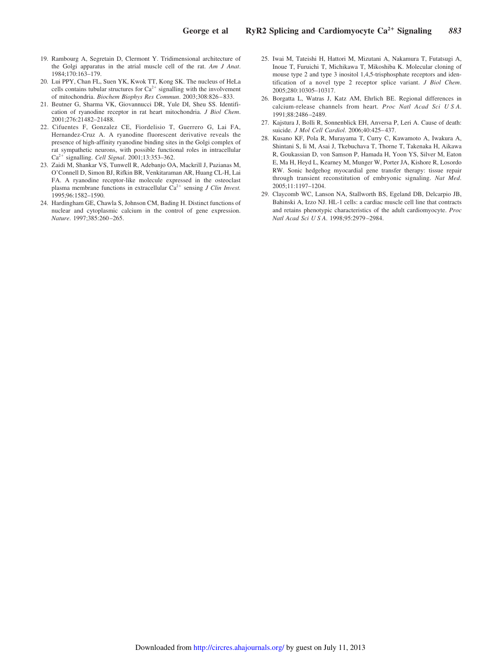- 19. Rambourg A, Segretain D, Clermont Y. Tridimensional architecture of the Golgi apparatus in the atrial muscle cell of the rat. *Am J Anat*. 1984;170:163–179.
- 20. Lui PPY, Chan FL, Suen YK, Kwok TT, Kong SK. The nucleus of HeLa cells contains tubular structures for  $Ca^{2+}$  signalling with the involvement of mitochondria. *Biochem Biophys Res Commun*. 2003;308:826–833.
- 21. Beutner G, Sharma VK, Giovannucci DR, Yule DI, Sheu SS. Identification of ryanodine receptor in rat heart mitochondria. *J Biol Chem*. 2001;276:21482–21488.
- 22. Cifuentes F, Gonzalez CE, Fiordelisio T, Guerrero G, Lai FA, Hernandez-Cruz A. A ryanodine fluorescent derivative reveals the presence of high-affinity ryanodine binding sites in the Golgi complex of rat sympathetic neurons, with possible functional roles in intracellular Ca<sup>2+</sup> signalling. *Cell Signal*. 2001;13:353-362.
- 23. Zaidi M, Shankar VS, Tunwell R, Adebanjo OA, Mackrill J, Pazianas M, O'Connell D, Simon BJ, Rifkin BR, Venkitaraman AR, Huang CL-H, Lai FA. A ryanodine receptor-like molecule expressed in the osteoclast plasma membrane functions in extracellular Ca<sup>2+</sup> sensing *J Clin Invest*. 1995;96:1582–1590.
- 24. Hardingham GE, Chawla S, Johnson CM, Bading H. Distinct functions of nuclear and cytoplasmic calcium in the control of gene expression. *Nature*. 1997;385:260–265.
- 25. Iwai M, Tateishi H, Hattori M, Mizutani A, Nakamura T, Futatsugi A, Inoue T, Furuichi T, Michikawa T, Mikoshiba K. Molecular cloning of mouse type 2 and type 3 inositol 1,4,5-trisphosphate receptors and identification of a novel type 2 receptor splice variant. *J Biol Chem*. 2005;280:10305–10317.
- 26. Borgatta L, Watras J, Katz AM, Ehrlich BE. Regional differences in calcium-release channels from heart. *Proc Natl Acad Sci U S A*. 1991;88:2486–2489.
- 27. Kajstura J, Bolli R, Sonnenblick EH, Anversa P, Leri A. Cause of death: suicide. *J Mol Cell Cardiol*. 2006;40:425–437.
- 28. Kusano KF, Pola R, Murayama T, Curry C, Kawamoto A, Iwakura A, Shintani S, Ii M, Asai J, Tkebuchava T, Thorne T, Takenaka H, Aikawa R, Goukassian D, von Samson P, Hamada H, Yoon YS, Silver M, Eaton E, Ma H, Heyd L, Kearney M, Munger W, Porter JA, Kishore R, Losordo RW. Sonic hedgehog myocardial gene transfer therapy: tissue repair through transient reconstitution of embryonic signaling. *Nat Med*. 2005;11:1197–1204.
- 29. Claycomb WC, Lanson NA, Stallworth BS, Egeland DB, Delcarpio JB, Bahinski A, Izzo NJ. HL-1 cells: a cardiac muscle cell line that contracts and retains phenotypic characteristics of the adult cardiomyocyte. *Proc Natl Acad Sci U S A*. 1998;95:2979–2984.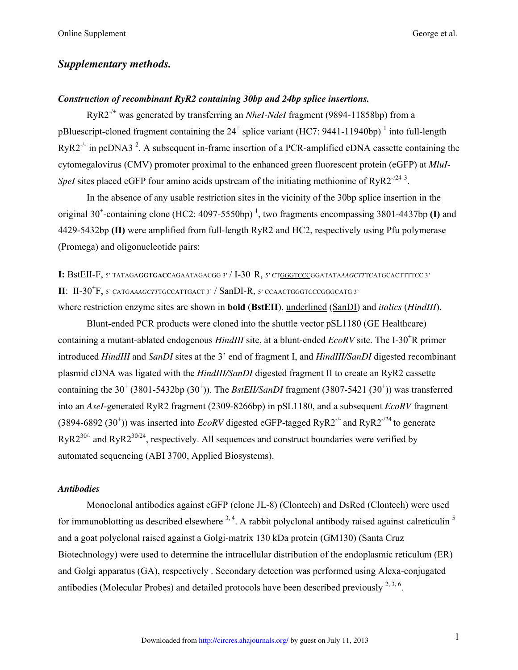# *Supplementary methods.*

# *Construction of recombinant RyR2 containing 30bp and 24bp splice insertions.*

RyR2-/+ was generated by transferring an *NheI-NdeI* fragment (9894-11858bp) from a pBluescript-cloned fragment containing the  $24^+$  splice variant (HC7: 9441-11940bp)<sup>1</sup> into full-length  $RyR2^{-/-}$  in pcDNA3<sup>2</sup>. A subsequent in-frame insertion of a PCR-amplified cDNA cassette containing the cytomegalovirus (CMV) promoter proximal to the enhanced green fluorescent protein (eGFP) at *MluI-SpeI* sites placed eGFP four amino acids upstream of the initiating methionine of  $RyR2^{-/24}$ <sup>3</sup>.

In the absence of any usable restriction sites in the vicinity of the 30bp splice insertion in the original 30<sup>+</sup>-containing clone (HC2: 4097-5550bp)<sup>1</sup>, two fragments encompassing 3801-4437bp **(I)** and 4429-5432bp **(II)** were amplified from full-length RyR2 and HC2, respectively using Pfu polymerase (Promega) and oligonucleotide pairs:

**I:** BstEII-F, 5' TATAGAGGTGACCAGAATAGACGG 3' / I-30<sup>+</sup>R, 5' CT<u>GGGTCCC</u>GGATATAAAGCTTTCATGCACTTTTCC 3' **II**: II-30<sup>+</sup>F, 5' catgaaagctttgccattgact 3' / SanDI-R, 5' ccaact<u>gggtccc</u>gggcatg 3'

where restriction enzyme sites are shown in **bold** (**BstEII**), underlined (SanDI) and *italics* (*HindIII*).

Blunt-ended PCR products were cloned into the shuttle vector pSL1180 (GE Healthcare) containing a mutant-ablated endogenous *HindIII* site, at a blunt-ended *EcoRV* site. The I-30<sup>+</sup>R primer introduced *HindIII* and *SanDI* sites at the 3' end of fragment I, and *HindIII/SanDI* digested recombinant plasmid cDNA was ligated with the *HindIII/SanDI* digested fragment II to create an RyR2 cassette containing the  $30^+$  (3801-5432bp (30<sup>+</sup>)). The *BstEII/SanDI* fragment (3807-5421 (30<sup>+</sup>)) was transferred into an *AseI*-generated RyR2 fragment (2309-8266bp) in pSL1180, and a subsequent *EcoRV* fragment  $(3894-6892 (30<sup>+</sup>))$  was inserted into *EcoRV* digested eGFP-tagged RyR2<sup>-/-</sup> and RyR2<sup>-/24</sup> to generate  $RyR2^{30/-}$  and  $RyR2^{30/24}$ , respectively. All sequences and construct boundaries were verified by automated sequencing (ABI 3700, Applied Biosystems).

# *Antibodies*

Monoclonal antibodies against eGFP (clone JL-8) (Clontech) and DsRed (Clontech) were used for immunoblotting as described elsewhere  $3, 4$ . A rabbit polyclonal antibody raised against calreticulin  $5$ and a goat polyclonal raised against a Golgi-matrix 130 kDa protein (GM130) (Santa Cruz Biotechnology) were used to determine the intracellular distribution of the endoplasmic reticulum (ER) and Golgi apparatus (GA), respectively . Secondary detection was performed using Alexa-conjugated antibodies (Molecular Probes) and detailed protocols have been described previously  $2,3,6$ .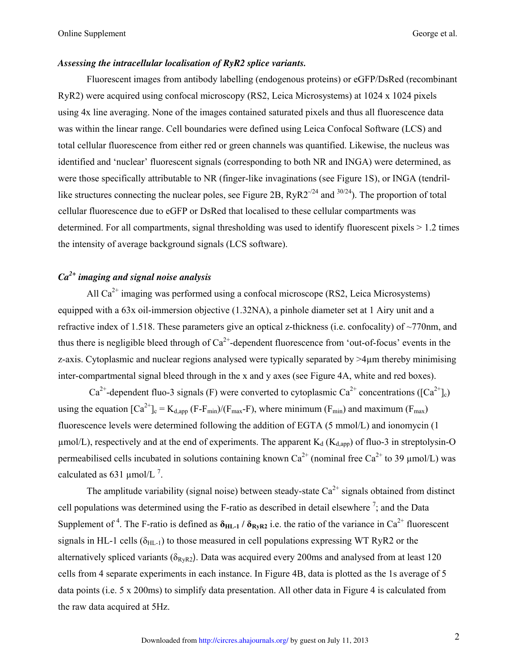# *Assessing the intracellular localisation of RyR2 splice variants.*

 Fluorescent images from antibody labelling (endogenous proteins) or eGFP/DsRed (recombinant RyR2) were acquired using confocal microscopy (RS2, Leica Microsystems) at 1024 x 1024 pixels using 4x line averaging. None of the images contained saturated pixels and thus all fluorescence data was within the linear range. Cell boundaries were defined using Leica Confocal Software (LCS) and total cellular fluorescence from either red or green channels was quantified. Likewise, the nucleus was identified and 'nuclear' fluorescent signals (corresponding to both NR and INGA) were determined, as were those specifically attributable to NR (finger-like invaginations (see Figure 1S), or INGA (tendrillike structures connecting the nuclear poles, see Figure 2B,  $RyR2^{-1/24}$  and  $30/24$ ). The proportion of total cellular fluorescence due to eGFP or DsRed that localised to these cellular compartments was determined. For all compartments, signal thresholding was used to identify fluorescent pixels > 1.2 times the intensity of average background signals (LCS software).

# *Ca2+ imaging and signal noise analysis*

All  $Ca^{2+}$  imaging was performed using a confocal microscope (RS2, Leica Microsystems) equipped with a 63x oil-immersion objective (1.32NA), a pinhole diameter set at 1 Airy unit and a refractive index of 1.518. These parameters give an optical z-thickness (i.e. confocality) of ~770nm, and thus there is negligible bleed through of  $Ca^{2+}$ -dependent fluorescence from 'out-of-focus' events in the z-axis. Cytoplasmic and nuclear regions analysed were typically separated by >4µm thereby minimising inter-compartmental signal bleed through in the x and y axes (see Figure 4A, white and red boxes).

 $Ca^{2+}$ -dependent fluo-3 signals (F) were converted to cytoplasmic  $Ca^{2+}$  concentrations ([Ca<sup>2+</sup>]<sub>c</sub>) using the equation  $[Ca^{2+}]_c = K_{d,app} (F-F_{min})/(F_{max}-F)$ , where minimum  $(F_{min})$  and maximum  $(F_{max})$ fluorescence levels were determined following the addition of EGTA (5 mmol/L) and ionomycin (1  $\mu$ mol/L), respectively and at the end of experiments. The apparent K<sub>d</sub> (K<sub>d,app</sub>) of fluo-3 in streptolysin-O permeabilised cells incubated in solutions containing known  $Ca^{2+}$  (nominal free  $Ca^{2+}$  to 39 µmol/L) was calculated as 631  $\mu$ mol/L<sup>7</sup>.

The amplitude variability (signal noise) between steady-state  $Ca^{2+}$  signals obtained from distinct cell populations was determined using the F-ratio as described in detail elsewhere  $\frac{7}{1}$ ; and the Data Supplement of <sup>4</sup>. The F-ratio is defined as  $\delta_{HL-1}$  /  $\delta_{RyR2}$  i.e. the ratio of the variance in Ca<sup>2+</sup> fluorescent signals in HL-1 cells  $(\delta_{HI-1})$  to those measured in cell populations expressing WT RyR2 or the alternatively spliced variants ( $\delta_{RyR2}$ ). Data was acquired every 200ms and analysed from at least 120 cells from 4 separate experiments in each instance. In Figure 4B, data is plotted as the 1s average of 5 data points (i.e. 5 x 200ms) to simplify data presentation. All other data in Figure 4 is calculated from the raw data acquired at 5Hz.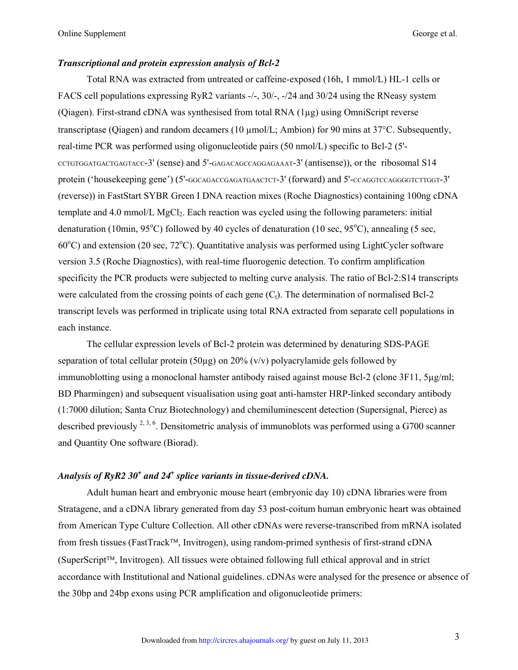# *Transcriptional and protein expression analysis of Bcl-2*

Total RNA was extracted from untreated or caffeine-exposed (16h, 1 mmol/L) HL-1 cells or FACS cell populations expressing RyR2 variants -/-, 30/-, -/24 and 30/24 using the RNeasy system (Qiagen). First-strand cDNA was synthesised from total RNA (1µg) using OmniScript reverse transcriptase (Qiagen) and random decamers (10 µmol/L; Ambion) for 90 mins at 37°C. Subsequently, real-time PCR was performed using oligonucleotide pairs (50 nmol/L) specific to Bcl-2 (5'- CCTGTGGATGACTGAGTACC-3' (sense) and 5'-GAGACAGCCAGGAGAAAT-3' (antisense)), or the ribosomal S14 protein ('housekeeping gene') (5'-GGCAGACCGAGATGAACTCT-3' (forward) and 5'-CCAGGTCCAGGGGTCTTGGT-3' (reverse)) in FastStart SYBR Green I DNA reaction mixes (Roche Diagnostics) containing 100ng cDNA template and 4.0 mmol/L MgCl2. Each reaction was cycled using the following parameters: initial denaturation (10min, 95 $^{\circ}$ C) followed by 40 cycles of denaturation (10 sec, 95 $^{\circ}$ C), annealing (5 sec,  $60^{\circ}$ C) and extension (20 sec,  $72^{\circ}$ C). Quantitative analysis was performed using LightCycler software version 3.5 (Roche Diagnostics), with real-time fluorogenic detection. To confirm amplification specificity the PCR products were subjected to melting curve analysis. The ratio of Bcl-2:S14 transcripts were calculated from the crossing points of each gene  $(C_t)$ . The determination of normalised Bcl-2 transcript levels was performed in triplicate using total RNA extracted from separate cell populations in each instance.

The cellular expression levels of Bcl-2 protein was determined by denaturing SDS-PAGE separation of total cellular protein (50µg) on 20% (v/v) polyacrylamide gels followed by immunoblotting using a monoclonal hamster antibody raised against mouse Bcl-2 (clone 3F11, 5µg/ml; BD Pharmingen) and subsequent visualisation using goat anti-hamster HRP-linked secondary antibody (1:7000 dilution; Santa Cruz Biotechnology) and chemiluminescent detection (Supersignal, Pierce) as described previously  $^{2,3,6}$ . Densitometric analysis of immunoblots was performed using a G700 scanner and Quantity One software (Biorad).

# Analysis of RyR2 30<sup>+</sup> and 24<sup>+</sup> splice variants in tissue-derived cDNA.

Adult human heart and embryonic mouse heart (embryonic day 10) cDNA libraries were from Stratagene, and a cDNA library generated from day 53 post-coitum human embryonic heart was obtained from American Type Culture Collection. All other cDNAs were reverse-transcribed from mRNA isolated from fresh tissues (FastTrack™, Invitrogen), using random-primed synthesis of first-strand cDNA (SuperScript™, Invitrogen). All tissues were obtained following full ethical approval and in strict accordance with Institutional and National guidelines. cDNAs were analysed for the presence or absence of the 30bp and 24bp exons using PCR amplification and oligonucleotide primers: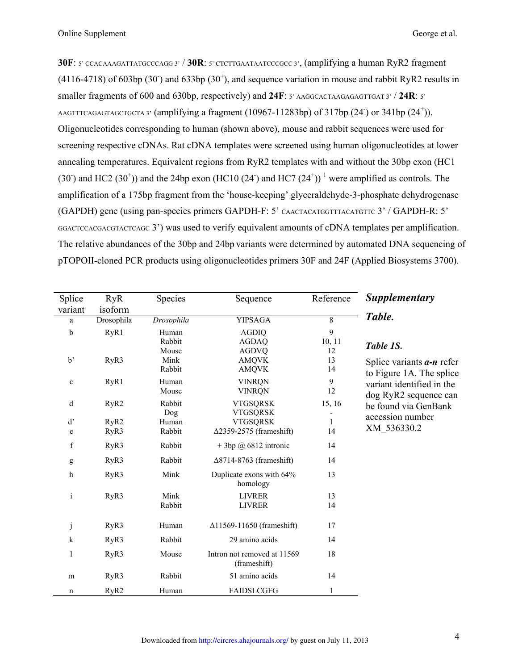**30F**: 5' CCACAAAGATTATGCCCAGG 3' / **30R**: 5' CTCTTGAATAATCCCGCC 3', (amplifying a human RyR2 fragment  $(4116-4718)$  of 603bp  $(30^{\circ})$  and 633bp  $(30^{\circ})$ , and sequence variation in mouse and rabbit RyR2 results in smaller fragments of 600 and 630bp, respectively) and **24F**: 5' AAGGCACTAAGAGAGTTGAT 3' / **24R**: 5' AAGTTTCAGAGTAGCTGCTA 3' (amplifying a fragment (10967-11283bp) of 317bp (24<sup>-</sup>) or 341bp (24<sup>+</sup>)). Oligonucleotides corresponding to human (shown above), mouse and rabbit sequences were used for screening respective cDNAs. Rat cDNA templates were screened using human oligonucleotides at lower annealing temperatures. Equivalent regions from RyR2 templates with and without the 30bp exon (HC1 (30) and HC2 (30<sup>+</sup>)) and the 24bp exon (HC10 (24) and HC7 (24<sup>+</sup>))<sup>1</sup> were amplified as controls. The amplification of a 175bp fragment from the 'house-keeping' glyceraldehyde-3-phosphate dehydrogenase (GAPDH) gene (using pan-species primers GAPDH-F: 5' CAACTACATGGTTTACATGTTC 3' / GAPDH-R: 5' GGACTCCACGACGTACTCAGC 3') was used to verify equivalent amounts of cDNA templates per amplification. The relative abundances of the 30bp and 24bp variants were determined by automated DNA sequencing of pTOPOII-cloned PCR products using oligonucleotides primers 30F and 24F (Applied Biosystems 3700).

| Splice       | <b>RyR</b>       | Species                 | Sequence                                     | Reference      | <b>Supplementary</b>                                                           |  |  |  |  |  |  |  |
|--------------|------------------|-------------------------|----------------------------------------------|----------------|--------------------------------------------------------------------------------|--|--|--|--|--|--|--|
| variant      | isoform          |                         |                                              |                |                                                                                |  |  |  |  |  |  |  |
| a            | Drosophila       | Drosophila              | <b>YIPSAGA</b>                               | 8              | Table.                                                                         |  |  |  |  |  |  |  |
| b            | RyR1             | Human<br>Rabbit         | <b>AGDIQ</b><br><b>AGDAQ</b>                 | 9<br>10, 11    | Table 1S.                                                                      |  |  |  |  |  |  |  |
| b'           | RyR3             | Mouse<br>Mink<br>Rabbit | <b>AGDVQ</b><br><b>AMQVK</b><br><b>AMQVK</b> | 12<br>13<br>14 | Splice variants $a-n$ refer                                                    |  |  |  |  |  |  |  |
| $\mathbf{C}$ | RyR1             | Human<br>Mouse          | <b>VINRQN</b><br><b>VINRQN</b>               | 9<br>12        | to Figure 1A. The splice<br>variant identified in the<br>dog RyR2 sequence can |  |  |  |  |  |  |  |
| $\mathbf d$  | RyR <sub>2</sub> | Rabbit<br>Dog           | <b>VTGSQRSK</b><br><b>VTGSQRSK</b>           | 15, 16         | be found via GenBank<br>accession number                                       |  |  |  |  |  |  |  |
| d'           | RyR2             | Human                   | <b>VTGSQRSK</b>                              | 1              |                                                                                |  |  |  |  |  |  |  |
| e            | RyR3             | Rabbit                  | $\Delta$ 2359-2575 (frameshift)              | 14             | XM 536330.2                                                                    |  |  |  |  |  |  |  |
| $\rm f$      | RyR3             | Rabbit                  | $+3bp @ 6812$ intronic                       | 14             |                                                                                |  |  |  |  |  |  |  |
| g            | RyR3             | Rabbit                  | $\Delta$ 8714-8763 (frameshift)              | 14             |                                                                                |  |  |  |  |  |  |  |
| h            | RyR3             | Mink                    | Duplicate exons with 64%<br>homology         | 13             |                                                                                |  |  |  |  |  |  |  |
| $\mathbf{i}$ | RyR3             | Mink                    | <b>LIVRER</b>                                | 13             |                                                                                |  |  |  |  |  |  |  |
|              |                  | Rabbit                  | <b>LIVRER</b>                                | 14             |                                                                                |  |  |  |  |  |  |  |
| j            | RyR3             | Human                   | $\Delta$ 11569-11650 (frameshift)            | 17             |                                                                                |  |  |  |  |  |  |  |
| $\mathbf k$  | RyR3             | Rabbit                  | 29 amino acids                               | 14             |                                                                                |  |  |  |  |  |  |  |
| 1            | RyR3             | Mouse                   | Intron not removed at 11569<br>(frameshift)  | 18             |                                                                                |  |  |  |  |  |  |  |
| m            | RyR3             | Rabbit                  | 51 amino acids                               | 14             |                                                                                |  |  |  |  |  |  |  |
| n            | RyR2             | Human                   | <b>FAIDSLCGFG</b>                            | 1              |                                                                                |  |  |  |  |  |  |  |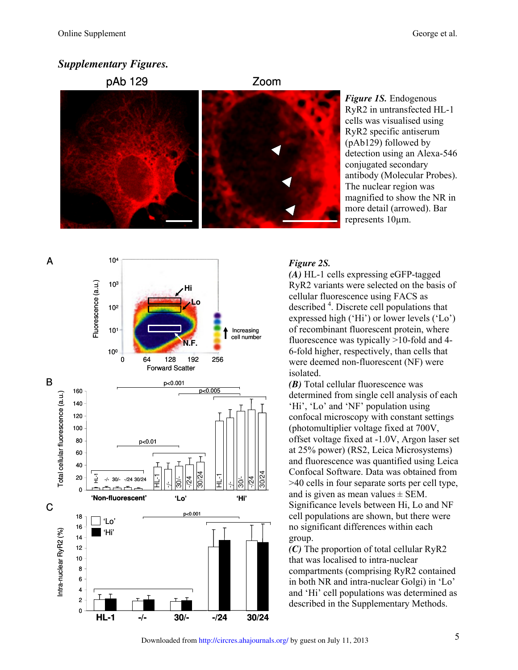# *Supplementary Figures.*



*Figure 1S.* Endogenous RyR2 in untransfected HL-1 cells was visualised using RyR2 specific antiserum (pAb129) followed by detection using an Alexa-546 conjugated secondary antibody (Molecular Probes). The nuclear region was magnified to show the NR in more detail (arrowed). Bar represents 10µm.

# *Figure 2S.*

*(A)* HL-1 cells expressing eGFP-tagged RyR2 variants were selected on the basis of cellular fluorescence using FACS as described <sup>4</sup>. Discrete cell populations that expressed high ('Hi') or lower levels ('Lo') of recombinant fluorescent protein, where fluorescence was typically >10-fold and 4- 6-fold higher, respectively, than cells that were deemed non-fluorescent (NF) were isolated.

*(B)* Total cellular fluorescence was determined from single cell analysis of each 'Hi', 'Lo' and 'NF' population using confocal microscopy with constant settings (photomultiplier voltage fixed at 700V, offset voltage fixed at -1.0V, Argon laser set at 25% power) (RS2, Leica Microsystems) and fluorescence was quantified using Leica Confocal Software. Data was obtained from >40 cells in four separate sorts per cell type, and is given as mean values  $\pm$  SEM. Significance levels between Hi, Lo and NF cell populations are shown, but there were no significant differences within each group.

*(C)* The proportion of total cellular RyR2 that was localised to intra-nuclear compartments (comprising RyR2 contained in both NR and intra-nuclear Golgi) in 'Lo' and 'Hi' cell populations was determined as described in the Supplementary Methods.

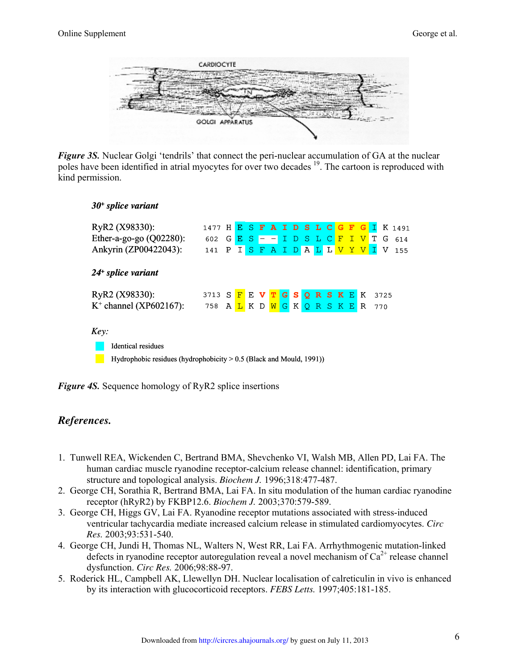

*Figure 3S.* Nuclear Golgi 'tendrils' that connect the peri-nuclear accumulation of GA at the nuclear poles have been identified in atrial myocytes for over two decades <sup>19</sup>. The cartoon is reproduced with kind permission.

# *30<sup>+</sup> splice variant*

| RyR2 (X98330):                                                        | 1477 H E S F A I D S L C       |   |  |  |                  |  |  |                                                                |  |        |  |           |      | <b>G F G I K 1491</b> |
|-----------------------------------------------------------------------|--------------------------------|---|--|--|------------------|--|--|----------------------------------------------------------------|--|--------|--|-----------|------|-----------------------|
| Ether-a-go-go $(Q02280)$ :                                            | 602                            | G |  |  | $E S - I D S LC$ |  |  |                                                                |  |        |  | F I V T G |      | 614                   |
| Ankyrin (ZP00422043):                                                 | 141 P I                        |   |  |  |                  |  |  |                                                                |  |        |  |           |      | SFAIDALLVYVIV155      |
| $24+$ splice variant                                                  |                                |   |  |  |                  |  |  |                                                                |  |        |  |           |      |                       |
| RyR2 (X98330):                                                        | 3713 S F E V T G S Q R S K E K |   |  |  |                  |  |  |                                                                |  |        |  |           | 3725 |                       |
| $K^+$ channel (XP602167):                                             | 758 A L K D                    |   |  |  |                  |  |  | $\boxed{\mathsf{W}}$ $\boxed{\mathsf{G}}$ $\boxed{\mathsf{K}}$ |  | QRSKER |  |           | 770  |                       |
| Key:                                                                  |                                |   |  |  |                  |  |  |                                                                |  |        |  |           |      |                       |
| <b>Identical residues</b>                                             |                                |   |  |  |                  |  |  |                                                                |  |        |  |           |      |                       |
| Hydrophobic residues (hydrophobicity $> 0.5$ (Black and Mould, 1991)) |                                |   |  |  |                  |  |  |                                                                |  |        |  |           |      |                       |

*Figure 4S.* Sequence homology of RyR2 splice insertions

# *References.*

- 1. Tunwell REA, Wickenden C, Bertrand BMA, Shevchenko VI, Walsh MB, Allen PD, Lai FA. The human cardiac muscle ryanodine receptor-calcium release channel: identification, primary structure and topological analysis. *Biochem J.* 1996;318:477-487.
- 2. George CH, Sorathia R, Bertrand BMA, Lai FA. In situ modulation of the human cardiac ryanodine receptor (hRyR2) by FKBP12.6. *Biochem J.* 2003;370:579-589.
- 3. George CH, Higgs GV, Lai FA. Ryanodine receptor mutations associated with stress-induced ventricular tachycardia mediate increased calcium release in stimulated cardiomyocytes. *Circ Res.* 2003;93:531-540.
- 4. George CH, Jundi H, Thomas NL, Walters N, West RR, Lai FA. Arrhythmogenic mutation-linked defects in ryanodine receptor autoregulation reveal a novel mechanism of  $Ca^{2+}$  release channel dysfunction. *Circ Res.* 2006;98:88-97.
- 5. Roderick HL, Campbell AK, Llewellyn DH. Nuclear localisation of calreticulin in vivo is enhanced by its interaction with glucocorticoid receptors. *FEBS Letts.* 1997;405:181-185.